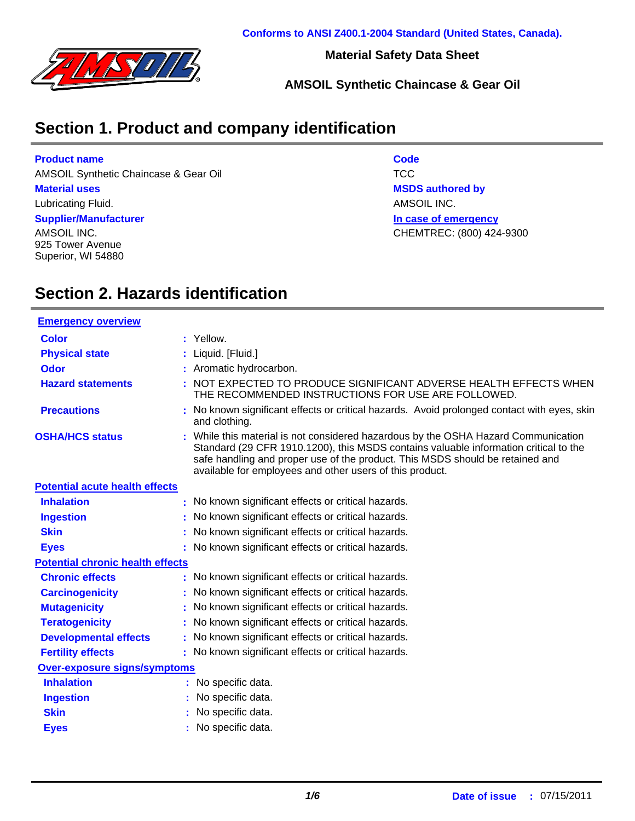

**Material Safety Data Sheet**

**AMSOIL Synthetic Chaincase & Gear Oil**

## **Section 1. Product and company identification**

#### **Product name**

AMSOIL Synthetic Chaincase & Gear Oil **TCC** 

#### **Material uses**

Lubricating Fluid.

#### **Supplier/Manufacturer**

AMSOIL INC. 925 Tower Avenue Superior, WI 54880 **Code In case of emergency MSDS authored by** AMSOIL INC. CHEMTREC: (800) 424-9300

# **Section 2. Hazards identification**

| <b>Emergency overview</b>               |                                                                                                                                                                                                                                                                                                                         |
|-----------------------------------------|-------------------------------------------------------------------------------------------------------------------------------------------------------------------------------------------------------------------------------------------------------------------------------------------------------------------------|
| <b>Color</b>                            | : Yellow.                                                                                                                                                                                                                                                                                                               |
| <b>Physical state</b>                   | : Liquid. [Fluid.]                                                                                                                                                                                                                                                                                                      |
| <b>Odor</b>                             | : Aromatic hydrocarbon.                                                                                                                                                                                                                                                                                                 |
| <b>Hazard statements</b>                | : NOT EXPECTED TO PRODUCE SIGNIFICANT ADVERSE HEALTH EFFECTS WHEN<br>THE RECOMMENDED INSTRUCTIONS FOR USE ARE FOLLOWED.                                                                                                                                                                                                 |
| <b>Precautions</b>                      | : No known significant effects or critical hazards. Avoid prolonged contact with eyes, skin<br>and clothing.                                                                                                                                                                                                            |
| <b>OSHA/HCS status</b>                  | : While this material is not considered hazardous by the OSHA Hazard Communication<br>Standard (29 CFR 1910.1200), this MSDS contains valuable information critical to the<br>safe handling and proper use of the product. This MSDS should be retained and<br>available for employees and other users of this product. |
| <b>Potential acute health effects</b>   |                                                                                                                                                                                                                                                                                                                         |
| <b>Inhalation</b>                       | : No known significant effects or critical hazards.                                                                                                                                                                                                                                                                     |
| <b>Ingestion</b>                        | : No known significant effects or critical hazards.                                                                                                                                                                                                                                                                     |
| <b>Skin</b>                             | : No known significant effects or critical hazards.                                                                                                                                                                                                                                                                     |
| <b>Eyes</b>                             | : No known significant effects or critical hazards.                                                                                                                                                                                                                                                                     |
| <b>Potential chronic health effects</b> |                                                                                                                                                                                                                                                                                                                         |
| <b>Chronic effects</b>                  | : No known significant effects or critical hazards.                                                                                                                                                                                                                                                                     |
| <b>Carcinogenicity</b>                  | : No known significant effects or critical hazards.                                                                                                                                                                                                                                                                     |
| <b>Mutagenicity</b>                     | : No known significant effects or critical hazards.                                                                                                                                                                                                                                                                     |
| <b>Teratogenicity</b>                   | : No known significant effects or critical hazards.                                                                                                                                                                                                                                                                     |
| <b>Developmental effects</b>            | : No known significant effects or critical hazards.                                                                                                                                                                                                                                                                     |
| <b>Fertility effects</b>                | : No known significant effects or critical hazards.                                                                                                                                                                                                                                                                     |
| <b>Over-exposure signs/symptoms</b>     |                                                                                                                                                                                                                                                                                                                         |
| <b>Inhalation</b>                       | : No specific data.                                                                                                                                                                                                                                                                                                     |
| <b>Ingestion</b>                        | No specific data.                                                                                                                                                                                                                                                                                                       |
| <b>Skin</b>                             | No specific data.                                                                                                                                                                                                                                                                                                       |
| <b>Eyes</b>                             | : No specific data.                                                                                                                                                                                                                                                                                                     |
|                                         |                                                                                                                                                                                                                                                                                                                         |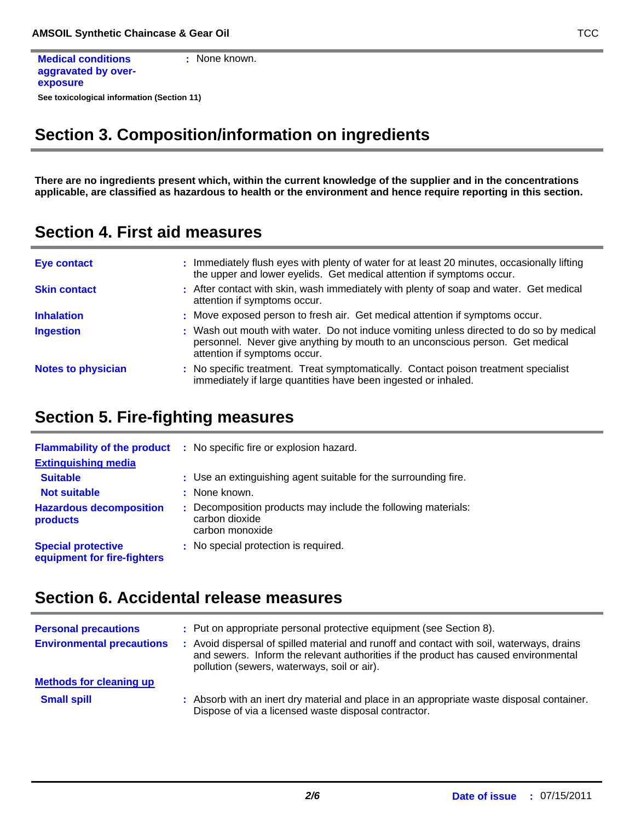```
See toxicological information (Section 11)
Medical conditions
aggravated by over-
exposure
                               : None known.
```
## **Section 3. Composition/information on ingredients**

**There are no ingredients present which, within the current knowledge of the supplier and in the concentrations applicable, are classified as hazardous to health or the environment and hence require reporting in this section.**

**Section 4. First aid measures**

| <b>Eye contact</b>        | : Immediately flush eyes with plenty of water for at least 20 minutes, occasionally lifting<br>the upper and lower eyelids. Get medical attention if symptoms occur.                                     |
|---------------------------|----------------------------------------------------------------------------------------------------------------------------------------------------------------------------------------------------------|
| <b>Skin contact</b>       | : After contact with skin, wash immediately with plenty of soap and water. Get medical<br>attention if symptoms occur.                                                                                   |
| <b>Inhalation</b>         | : Move exposed person to fresh air. Get medical attention if symptoms occur.                                                                                                                             |
| <b>Ingestion</b>          | : Wash out mouth with water. Do not induce vomiting unless directed to do so by medical<br>personnel. Never give anything by mouth to an unconscious person. Get medical<br>attention if symptoms occur. |
| <b>Notes to physician</b> | : No specific treatment. Treat symptomatically. Contact poison treatment specialist<br>immediately if large quantities have been ingested or inhaled.                                                    |

### **Section 5. Fire-fighting measures**

| <b>Flammability of the product</b><br><b>Extinguishing media</b> | : No specific fire or explosion hazard.                                                            |
|------------------------------------------------------------------|----------------------------------------------------------------------------------------------------|
| <b>Suitable</b>                                                  | : Use an extinguishing agent suitable for the surrounding fire.                                    |
| <b>Not suitable</b>                                              | : None known.                                                                                      |
| <b>Hazardous decomposition</b><br>products                       | : Decomposition products may include the following materials:<br>carbon dioxide<br>carbon monoxide |
| <b>Special protective</b><br>equipment for fire-fighters         | : No special protection is required.                                                               |

## **Section 6. Accidental release measures**

| <b>Personal precautions</b>      | : Put on appropriate personal protective equipment (see Section 8).                                                                                                                                                           |
|----------------------------------|-------------------------------------------------------------------------------------------------------------------------------------------------------------------------------------------------------------------------------|
| <b>Environmental precautions</b> | Avoid dispersal of spilled material and runoff and contact with soil, waterways, drains<br>and sewers. Inform the relevant authorities if the product has caused environmental<br>pollution (sewers, waterways, soil or air). |
| <b>Methods for cleaning up</b>   |                                                                                                                                                                                                                               |
| <b>Small spill</b>               | : Absorb with an inert dry material and place in an appropriate waste disposal container.<br>Dispose of via a licensed waste disposal contractor.                                                                             |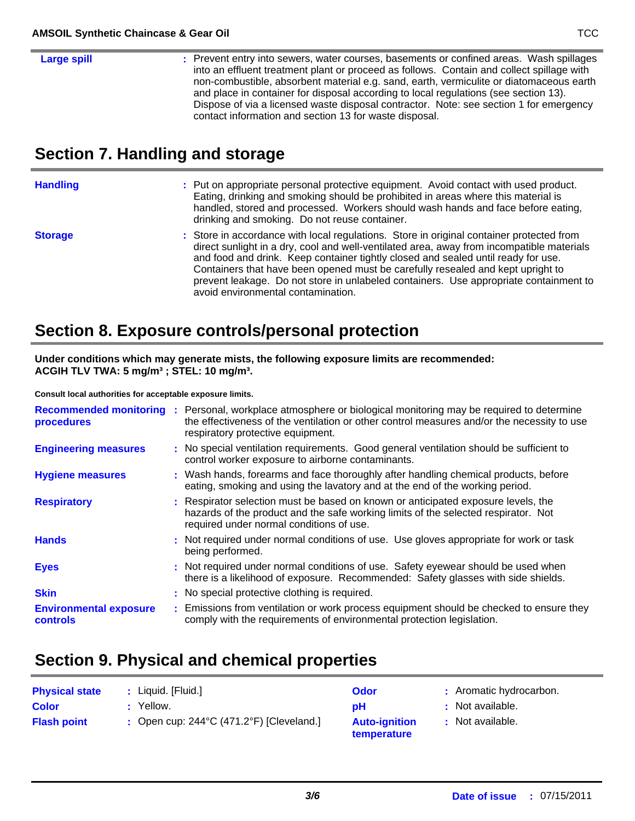### **Large spill :**

: Prevent entry into sewers, water courses, basements or confined areas. Wash spillages into an effluent treatment plant or proceed as follows. Contain and collect spillage with non-combustible, absorbent material e.g. sand, earth, vermiculite or diatomaceous earth and place in container for disposal according to local regulations (see section 13). Dispose of via a licensed waste disposal contractor. Note: see section 1 for emergency contact information and section 13 for waste disposal.

## **Section 7. Handling and storage**

| <b>Handling</b> | : Put on appropriate personal protective equipment. Avoid contact with used product.<br>Eating, drinking and smoking should be prohibited in areas where this material is<br>handled, stored and processed. Workers should wash hands and face before eating,<br>drinking and smoking. Do not reuse container.                                                                                                                                         |
|-----------------|--------------------------------------------------------------------------------------------------------------------------------------------------------------------------------------------------------------------------------------------------------------------------------------------------------------------------------------------------------------------------------------------------------------------------------------------------------|
| <b>Storage</b>  | : Store in accordance with local regulations. Store in original container protected from<br>direct sunlight in a dry, cool and well-ventilated area, away from incompatible materials<br>and food and drink. Keep container tightly closed and sealed until ready for use.<br>Containers that have been opened must be carefully resealed and kept upright to<br>prevent leakage. Do not store in unlabeled containers. Use appropriate containment to |

### **Section 8. Exposure controls/personal protection**

**Under conditions which may generate mists, the following exposure limits are recommended: ACGIH TLV TWA: 5 mg/m³ ; STEL: 10 mg/m³.**

avoid environmental contamination.

**Consult local authorities for acceptable exposure limits.**

| <b>Recommended monitoring</b><br>procedures      | : Personal, workplace atmosphere or biological monitoring may be required to determine<br>the effectiveness of the ventilation or other control measures and/or the necessity to use<br>respiratory protective equipment. |
|--------------------------------------------------|---------------------------------------------------------------------------------------------------------------------------------------------------------------------------------------------------------------------------|
| <b>Engineering measures</b>                      | : No special ventilation requirements. Good general ventilation should be sufficient to<br>control worker exposure to airborne contaminants.                                                                              |
| <b>Hygiene measures</b>                          | : Wash hands, forearms and face thoroughly after handling chemical products, before<br>eating, smoking and using the lavatory and at the end of the working period.                                                       |
| <b>Respiratory</b>                               | : Respirator selection must be based on known or anticipated exposure levels, the<br>hazards of the product and the safe working limits of the selected respirator. Not<br>required under normal conditions of use.       |
| <b>Hands</b>                                     | : Not required under normal conditions of use. Use gloves appropriate for work or task<br>being performed.                                                                                                                |
| <b>Eyes</b>                                      | : Not required under normal conditions of use. Safety eyewear should be used when<br>there is a likelihood of exposure. Recommended: Safety glasses with side shields.                                                    |
| <b>Skin</b>                                      | : No special protective clothing is required.                                                                                                                                                                             |
| <b>Environmental exposure</b><br><b>controls</b> | : Emissions from ventilation or work process equipment should be checked to ensure they<br>comply with the requirements of environmental protection legislation.                                                          |

### **Section 9. Physical and chemical properties**

| <b>Physical state</b> | Liquid. [Fluid.]                                   | Odor                                | : Aromatic hydrocarbon. |
|-----------------------|----------------------------------------------------|-------------------------------------|-------------------------|
| <b>Color</b>          | Yellow.                                            | рH                                  | : Not available.        |
| <b>Flash point</b>    | : Open cup: $244^{\circ}$ C (471.2°F) [Cleveland.] | <b>Auto-ignition</b><br>temperature | : Not available.        |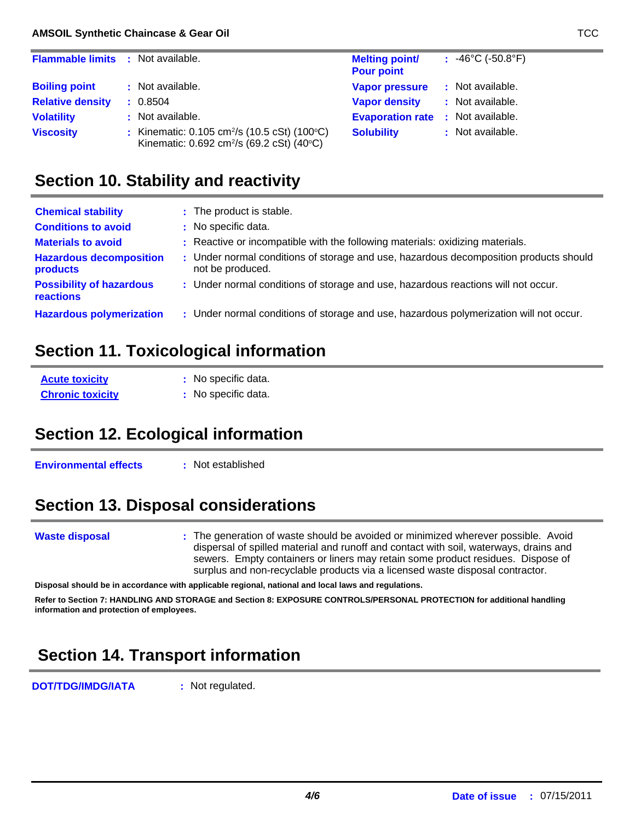| <b>Flammable limits : Not available.</b> |                                                                                                                                   | <b>Melting point/</b>                    | $: 46^{\circ}$ C (-50.8 $^{\circ}$ F) |
|------------------------------------------|-----------------------------------------------------------------------------------------------------------------------------------|------------------------------------------|---------------------------------------|
|                                          |                                                                                                                                   | <b>Pour point</b>                        |                                       |
| <b>Boiling point</b>                     | : Not available.                                                                                                                  | <b>Vapor pressure</b>                    | : Not available.                      |
| <b>Relative density</b>                  | : 0.8504                                                                                                                          | <b>Vapor density</b>                     | : Not available.                      |
| <b>Volatility</b>                        | : Not available.                                                                                                                  | <b>Evaporation rate : Not available.</b> |                                       |
| <b>Viscosity</b>                         | : Kinematic: $0.105 \text{ cm}^2/\text{s}$ (10.5 cSt) (100 $^{\circ}$ C)<br>Kinematic: 0.692 cm <sup>2</sup> /s (69.2 cSt) (40°C) | <b>Solubility</b>                        | : Not available.                      |

## **Section 10. Stability and reactivity**

| <b>Chemical stability</b>                    | : The product is stable.                                                               |
|----------------------------------------------|----------------------------------------------------------------------------------------|
| <b>Conditions to avoid</b>                   | : No specific data.                                                                    |
| <b>Materials to avoid</b>                    | : Reactive or incompatible with the following materials: oxidizing materials.          |
| <b>Hazardous decomposition</b>               | : Under normal conditions of storage and use, hazardous decomposition products should  |
| products                                     | not be produced.                                                                       |
| <b>Possibility of hazardous</b><br>reactions | : Under normal conditions of storage and use, hazardous reactions will not occur.      |
| <b>Hazardous polymerization</b>              | : Under normal conditions of storage and use, hazardous polymerization will not occur. |

## **Section 11. Toxicological information**

**Acute toxicity Chronic toxicity :** No specific data. **:** No specific data.

## **Section 12. Ecological information**

**Environmental effects : Not established** 

## **Section 13. Disposal considerations**

#### **Waste disposal**

The generation of waste should be avoided or minimized wherever possible. Avoid **:** dispersal of spilled material and runoff and contact with soil, waterways, drains and sewers. Empty containers or liners may retain some product residues. Dispose of surplus and non-recyclable products via a licensed waste disposal contractor.

**Disposal should be in accordance with applicable regional, national and local laws and regulations.**

**Refer to Section 7: HANDLING AND STORAGE and Section 8: EXPOSURE CONTROLS/PERSONAL PROTECTION for additional handling information and protection of employees.**

# **Section 14. Transport information**

**DOT/TDG/IMDG/IATA :** Not regulated.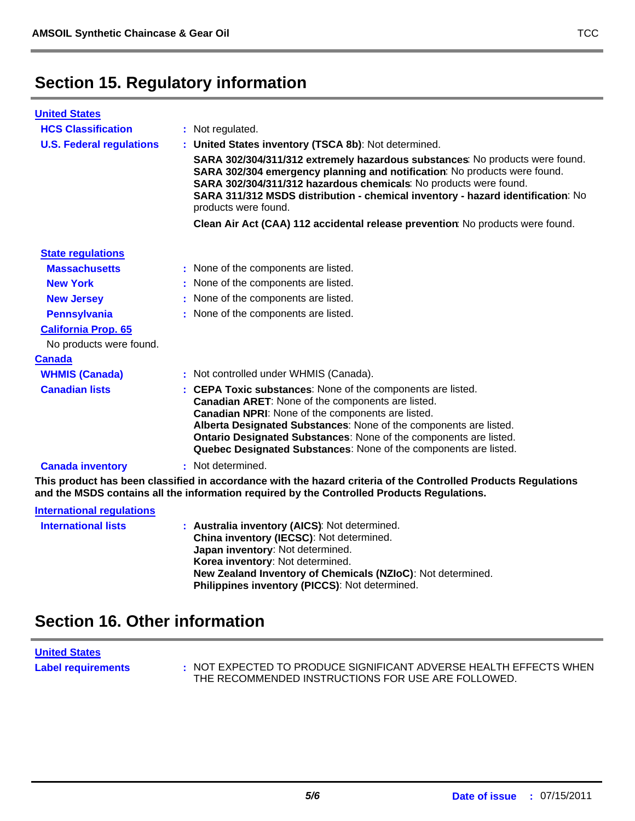## **Section 15. Regulatory information**

| <b>United States</b>             |                                                                                                                                                                                                                                                                                                                                                                                     |
|----------------------------------|-------------------------------------------------------------------------------------------------------------------------------------------------------------------------------------------------------------------------------------------------------------------------------------------------------------------------------------------------------------------------------------|
| <b>HCS Classification</b>        | : Not regulated.                                                                                                                                                                                                                                                                                                                                                                    |
| <b>U.S. Federal regulations</b>  | : United States inventory (TSCA 8b): Not determined.                                                                                                                                                                                                                                                                                                                                |
|                                  | SARA 302/304/311/312 extremely hazardous substances: No products were found.<br>SARA 302/304 emergency planning and notification: No products were found.<br>SARA 302/304/311/312 hazardous chemicals: No products were found.<br>SARA 311/312 MSDS distribution - chemical inventory - hazard identification: No<br>products were found.                                           |
|                                  | Clean Air Act (CAA) 112 accidental release prevention: No products were found.                                                                                                                                                                                                                                                                                                      |
| <b>State regulations</b>         |                                                                                                                                                                                                                                                                                                                                                                                     |
| <b>Massachusetts</b>             | : None of the components are listed.                                                                                                                                                                                                                                                                                                                                                |
| <b>New York</b>                  | : None of the components are listed.                                                                                                                                                                                                                                                                                                                                                |
| <b>New Jersey</b>                | : None of the components are listed.                                                                                                                                                                                                                                                                                                                                                |
| <b>Pennsylvania</b>              | : None of the components are listed.                                                                                                                                                                                                                                                                                                                                                |
| <b>California Prop. 65</b>       |                                                                                                                                                                                                                                                                                                                                                                                     |
| No products were found.          |                                                                                                                                                                                                                                                                                                                                                                                     |
| <b>Canada</b>                    |                                                                                                                                                                                                                                                                                                                                                                                     |
| <b>WHMIS (Canada)</b>            | : Not controlled under WHMIS (Canada).                                                                                                                                                                                                                                                                                                                                              |
| <b>Canadian lists</b>            | : CEPA Toxic substances: None of the components are listed.<br>Canadian ARET: None of the components are listed.<br>Canadian NPRI: None of the components are listed.<br>Alberta Designated Substances: None of the components are listed.<br>Ontario Designated Substances: None of the components are listed.<br>Quebec Designated Substances: None of the components are listed. |
| <b>Canada inventory</b>          | : Not determined.                                                                                                                                                                                                                                                                                                                                                                   |
|                                  | This product has been classified in accordance with the hazard criteria of the Controlled Products Regulations<br>and the MSDS contains all the information required by the Controlled Products Regulations.                                                                                                                                                                        |
| <b>International regulations</b> |                                                                                                                                                                                                                                                                                                                                                                                     |
| <b>International lists</b>       | : Australia inventory (AICS): Not determined.                                                                                                                                                                                                                                                                                                                                       |

| : Australia inventory (AICS): Not determined.                                                                 |
|---------------------------------------------------------------------------------------------------------------|
| China inventory (IECSC): Not determined.                                                                      |
| Japan inventory: Not determined.                                                                              |
| Korea inventory: Not determined.                                                                              |
| New Zealand Inventory of Chemicals (NZIoC): Not determined.<br>Philippines inventory (PICCS): Not determined. |
|                                                                                                               |

### **Section 16. Other information**

**United States**

Label requirements : NOT EXPECTED TO PRODUCE SIGNIFICANT ADVERSE HEALTH EFFECTS WHEN THE RECOMMENDED INSTRUCTIONS FOR USE ARE FOLLOWED.